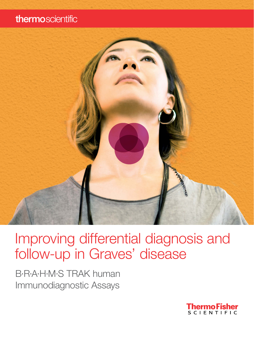### thermoscientific



Improving differential diagnosis and follow-up in Graves' disease

B·R·A·H·M·S TRAK human Immunodiagnostic Assays

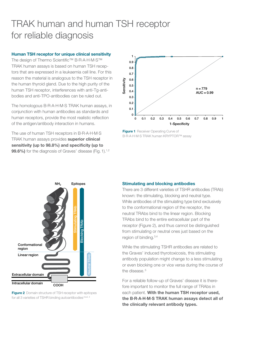## TRAK human and human TSH receptor for reliable diagnosis

#### Human TSH receptor for unique clinical sensitivity

The design of Thermo Scientific™ B·R·A·H·M·S™ TRAK human assays is based on human TSH receptors that are expressed in a leukaemia cell line. For this reason the material is analogous to the TSH receptor in the human thyroid gland. Due to the high purity of the human TSH receptor, interferences with anti-Tg-antibodies and anti-TPO-antibodies can be ruled out.

The homologous B·R·A·H·M·S TRAK human assays, in conjunction with human antibodies as standards and human receptors, provide the most realistic reflection of the antigen/antibody interaction in humans.

The use of human TSH receptors in B·R·A·H·M·S TRAK human assays provides superior clinical sensitivity (up to 98.8%) and specificity (up to 99.6%) for the diagnosis of Graves' disease (Fig. 1).<sup>1,2</sup>



**Figure 1** Receiver Operating Curve of B·R·A·H·M·S TRAK human KRYPTOR™ assay



**Figure 2** Domain structure of TSH receptor with epitopes for all 3 varieties of TSHR binding autoantibodies<sup>mod. 4</sup>

#### Stimulating and blocking antibodies

There are 3 different varieties of TSHR antibodies (TRAb) known: the stimulating, blocking and neutral type. While antibodies of the stimulating type bind exclusively to the conformational region of the receptor, the neutral TRAbs bind to the linear region. Blocking TRAbs bind to the entire extracellular part of the receptor (Figure 2), and thus cannot be distinguished from stimulating or neutral ones just based on the region of binding.3,4

While the stimulating TSHR antibodies are related to the Graves' induced thyrotoxicosis, this stimulating antibody population might change to a less stimulating or even blocking one or vice versa during the course of the disease.<sup>5</sup>

For a reliable follow-up of Graves' disease it is therefore important to monitor the full range of TRAbs in each patient. With the human TSH receptor used, the B·R·A·H·M·S TRAK human assays detect all of the clinically relevant antibody types.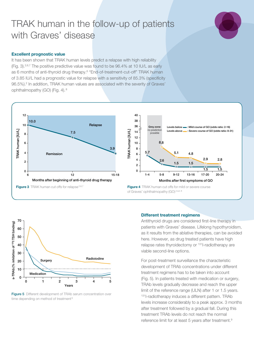### TRAK human in the follow-up of patients with Graves' disease



#### Excellent prognostic value

It has been shown that TRAK human levels predict a relapse with high reliability (Fig. 3).<sup>2,6,7</sup> The positive predictive value was found to be  $96.4\%$  at 10 IU/L as early as 6 months of anti-thyroid drug therapy.6 "End-of-treatment-cut-off" TRAK human of 3.85 IU/L had a prognostic value for relapse with a sensitivity of 85.3% (specificity 96.5%).2 In addition, TRAK human values are associated with the severity of Graves' ophthalmopathy (GO) (Fig. 4). <sup>8</sup>





**Figure 5** Different development of TRAb serum concentration over time depending on method of treatment<sup>9</sup>

#### Different treatment regimens

Antithyroid drugs are considered first-line therapy in patients with Graves' disease. Lifelong hypothyroidism, as it results from the ablative therapies, can be avoided here. However, as drug treated patients have high relapse rates thyroidectomy or 131I-radiotherapy are viable second-line options.

For post-treatment surveillance the characteristic development of TRAb concentrations under different treatment regimens has to be taken into account (Fig. 5). In patients treated with medication or surgery, TRAb levels gradually decrease and reach the upper limit of the reference range (ULN) after 1 or 1.5 years. 131 I-radiotherapy induces a different pattern. TRAb levels increase considerably to a peak approx. 3 months after treatment followed by a gradual fall. During this treatment TRAb levels do not reach the normal reference limit for at least 5 years after treatment.<sup>9</sup>